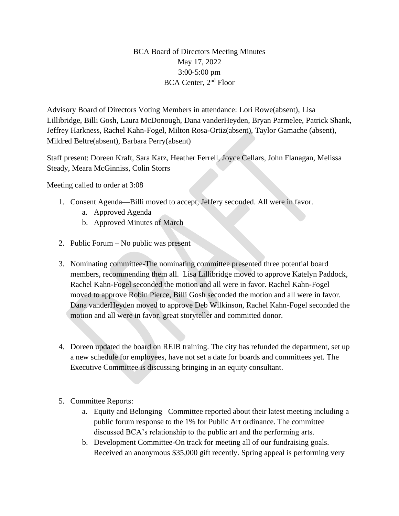## BCA Board of Directors Meeting Minutes May 17, 2022 3:00-5:00 pm BCA Center, 2nd Floor

Advisory Board of Directors Voting Members in attendance: Lori Rowe(absent), Lisa Lillibridge, Billi Gosh, Laura McDonough, Dana vanderHeyden, Bryan Parmelee, Patrick Shank, Jeffrey Harkness, Rachel Kahn-Fogel, Milton Rosa-Ortiz(absent), Taylor Gamache (absent), Mildred Beltre(absent), Barbara Perry(absent)

Staff present: Doreen Kraft, Sara Katz, Heather Ferrell, Joyce Cellars, John Flanagan, Melissa Steady, Meara McGinniss, Colin Storrs

Meeting called to order at 3:08

- 1. Consent Agenda—Billi moved to accept, Jeffery seconded. All were in favor.
	- a. Approved Agenda
	- b. Approved Minutes of March
- 2. Public Forum No public was present
- 3. Nominating committee-The nominating committee presented three potential board members, recommending them all. Lisa Lillibridge moved to approve Katelyn Paddock, Rachel Kahn-Fogel seconded the motion and all were in favor. Rachel Kahn-Fogel moved to approve Robin Pierce, Billi Gosh seconded the motion and all were in favor. Dana vanderHeyden moved to approve Deb Wilkinson, Rachel Kahn-Fogel seconded the motion and all were in favor. great storyteller and committed donor.
- 4. Doreen updated the board on REIB training. The city has refunded the department, set up a new schedule for employees, have not set a date for boards and committees yet. The Executive Committee is discussing bringing in an equity consultant.
- 5. Committee Reports:
	- a. Equity and Belonging –Committee reported about their latest meeting including a public forum response to the 1% for Public Art ordinance. The committee discussed BCA's relationship to the public art and the performing arts.
	- b. Development Committee-On track for meeting all of our fundraising goals. Received an anonymous \$35,000 gift recently. Spring appeal is performing very